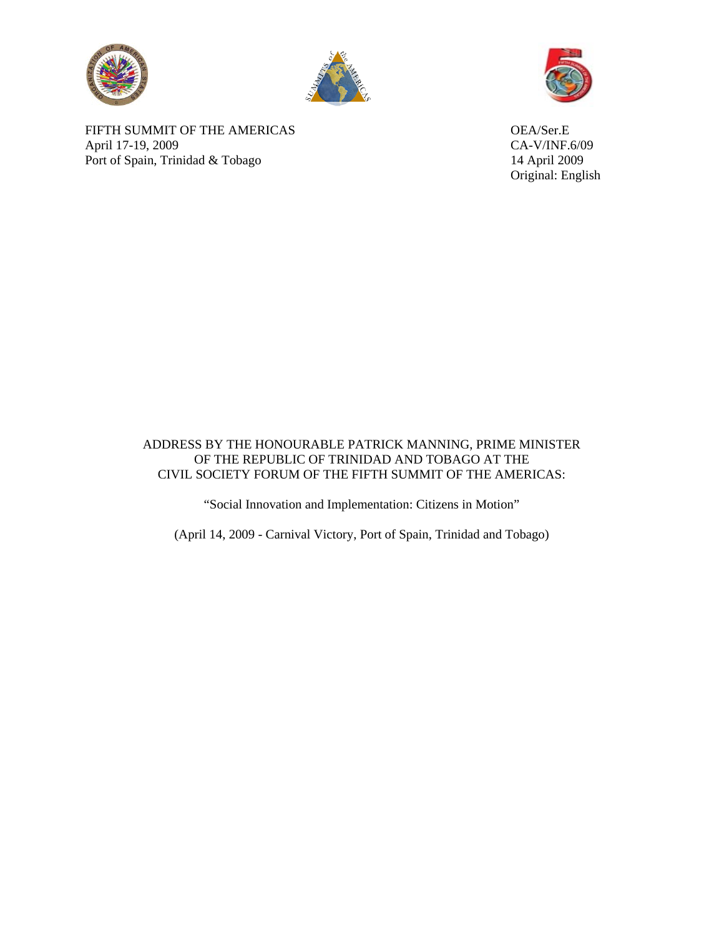





Original: English

FIFTH SUMMIT OF THE AMERICAS OEA/Ser.E April 17-19, 2009 CA-V/INF.6/09 Port of Spain, Trinidad & Tobago 14 April 2009

## ADDRESS BY THE HONOURABLE PATRICK MANNING, PRIME MINISTER OF THE REPUBLIC OF TRINIDAD AND TOBAGO AT THE CIVIL SOCIETY FORUM OF THE FIFTH SUMMIT OF THE AMERICAS:

"Social Innovation and Implementation: Citizens in Motion"

(April 14, 2009 - Carnival Victory, Port of Spain, Trinidad and Tobago)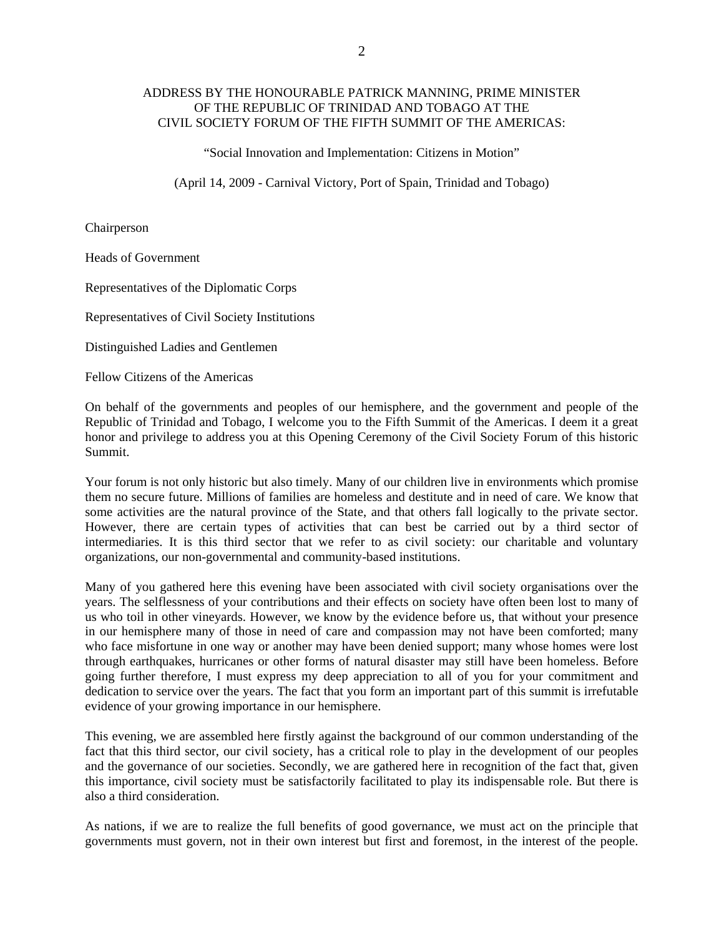## ADDRESS BY THE HONOURABLE PATRICK MANNING, PRIME MINISTER OF THE REPUBLIC OF TRINIDAD AND TOBAGO AT THE CIVIL SOCIETY FORUM OF THE FIFTH SUMMIT OF THE AMERICAS:

"Social Innovation and Implementation: Citizens in Motion"

(April 14, 2009 - Carnival Victory, Port of Spain, Trinidad and Tobago)

Chairperson

Heads of Government

Representatives of the Diplomatic Corps

Representatives of Civil Society Institutions

Distinguished Ladies and Gentlemen

Fellow Citizens of the Americas

On behalf of the governments and peoples of our hemisphere, and the government and people of the Republic of Trinidad and Tobago, I welcome you to the Fifth Summit of the Americas. I deem it a great honor and privilege to address you at this Opening Ceremony of the Civil Society Forum of this historic Summit.

Your forum is not only historic but also timely. Many of our children live in environments which promise them no secure future. Millions of families are homeless and destitute and in need of care. We know that some activities are the natural province of the State, and that others fall logically to the private sector. However, there are certain types of activities that can best be carried out by a third sector of intermediaries. It is this third sector that we refer to as civil society: our charitable and voluntary organizations, our non-governmental and community-based institutions.

Many of you gathered here this evening have been associated with civil society organisations over the years. The selflessness of your contributions and their effects on society have often been lost to many of us who toil in other vineyards. However, we know by the evidence before us, that without your presence in our hemisphere many of those in need of care and compassion may not have been comforted; many who face misfortune in one way or another may have been denied support; many whose homes were lost through earthquakes, hurricanes or other forms of natural disaster may still have been homeless. Before going further therefore, I must express my deep appreciation to all of you for your commitment and dedication to service over the years. The fact that you form an important part of this summit is irrefutable evidence of your growing importance in our hemisphere.

This evening, we are assembled here firstly against the background of our common understanding of the fact that this third sector, our civil society, has a critical role to play in the development of our peoples and the governance of our societies. Secondly, we are gathered here in recognition of the fact that, given this importance, civil society must be satisfactorily facilitated to play its indispensable role. But there is also a third consideration.

As nations, if we are to realize the full benefits of good governance, we must act on the principle that governments must govern, not in their own interest but first and foremost, in the interest of the people.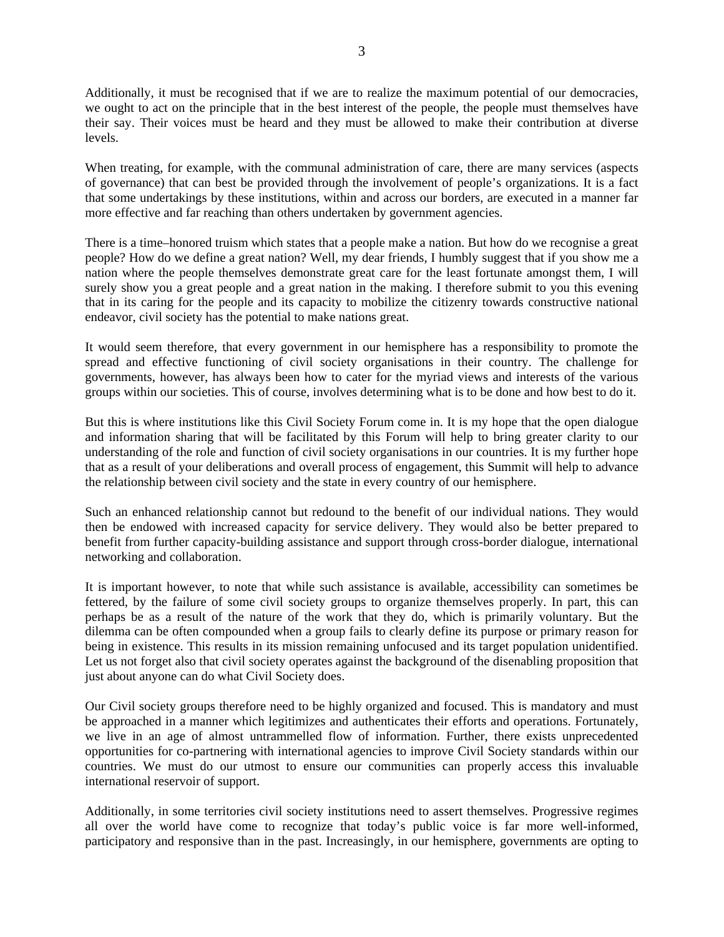Additionally, it must be recognised that if we are to realize the maximum potential of our democracies, we ought to act on the principle that in the best interest of the people, the people must themselves have their say. Their voices must be heard and they must be allowed to make their contribution at diverse levels.

When treating, for example, with the communal administration of care, there are many services (aspects of governance) that can best be provided through the involvement of people's organizations. It is a fact that some undertakings by these institutions, within and across our borders, are executed in a manner far more effective and far reaching than others undertaken by government agencies.

There is a time–honored truism which states that a people make a nation. But how do we recognise a great people? How do we define a great nation? Well, my dear friends, I humbly suggest that if you show me a nation where the people themselves demonstrate great care for the least fortunate amongst them, I will surely show you a great people and a great nation in the making. I therefore submit to you this evening that in its caring for the people and its capacity to mobilize the citizenry towards constructive national endeavor, civil society has the potential to make nations great.

It would seem therefore, that every government in our hemisphere has a responsibility to promote the spread and effective functioning of civil society organisations in their country. The challenge for governments, however, has always been how to cater for the myriad views and interests of the various groups within our societies. This of course, involves determining what is to be done and how best to do it.

But this is where institutions like this Civil Society Forum come in. It is my hope that the open dialogue and information sharing that will be facilitated by this Forum will help to bring greater clarity to our understanding of the role and function of civil society organisations in our countries. It is my further hope that as a result of your deliberations and overall process of engagement, this Summit will help to advance the relationship between civil society and the state in every country of our hemisphere.

Such an enhanced relationship cannot but redound to the benefit of our individual nations. They would then be endowed with increased capacity for service delivery. They would also be better prepared to benefit from further capacity-building assistance and support through cross-border dialogue, international networking and collaboration.

It is important however, to note that while such assistance is available, accessibility can sometimes be fettered, by the failure of some civil society groups to organize themselves properly. In part, this can perhaps be as a result of the nature of the work that they do, which is primarily voluntary. But the dilemma can be often compounded when a group fails to clearly define its purpose or primary reason for being in existence. This results in its mission remaining unfocused and its target population unidentified. Let us not forget also that civil society operates against the background of the disenabling proposition that just about anyone can do what Civil Society does.

Our Civil society groups therefore need to be highly organized and focused. This is mandatory and must be approached in a manner which legitimizes and authenticates their efforts and operations. Fortunately, we live in an age of almost untrammelled flow of information. Further, there exists unprecedented opportunities for co-partnering with international agencies to improve Civil Society standards within our countries. We must do our utmost to ensure our communities can properly access this invaluable international reservoir of support.

Additionally, in some territories civil society institutions need to assert themselves. Progressive regimes all over the world have come to recognize that today's public voice is far more well-informed, participatory and responsive than in the past. Increasingly, in our hemisphere, governments are opting to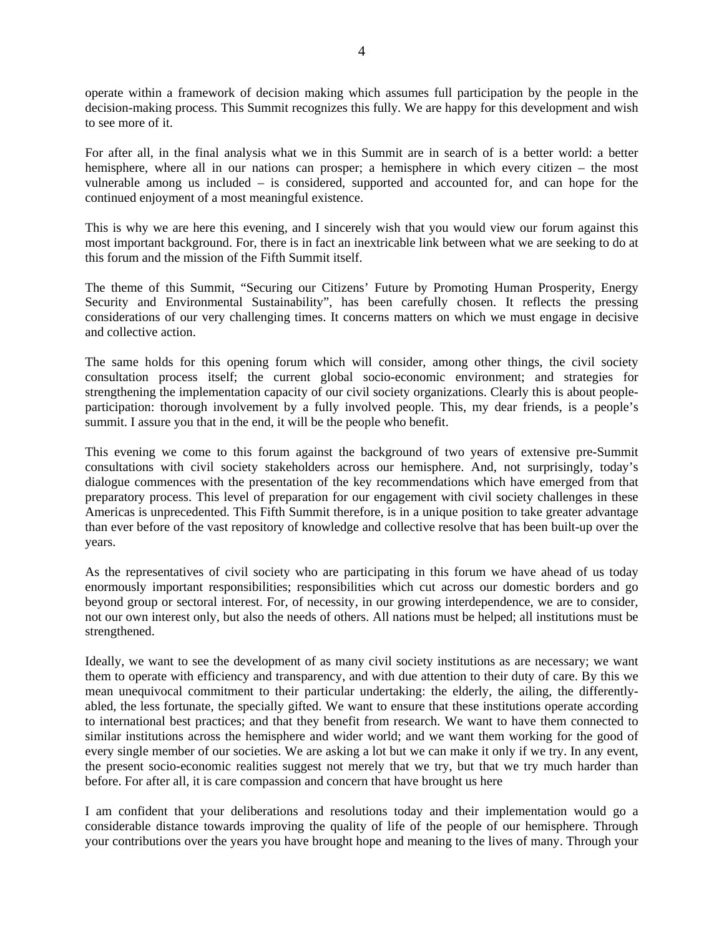operate within a framework of decision making which assumes full participation by the people in the decision-making process. This Summit recognizes this fully. We are happy for this development and wish to see more of it.

For after all, in the final analysis what we in this Summit are in search of is a better world: a better hemisphere, where all in our nations can prosper; a hemisphere in which every citizen – the most vulnerable among us included – is considered, supported and accounted for, and can hope for the continued enjoyment of a most meaningful existence.

This is why we are here this evening, and I sincerely wish that you would view our forum against this most important background. For, there is in fact an inextricable link between what we are seeking to do at this forum and the mission of the Fifth Summit itself.

The theme of this Summit, "Securing our Citizens' Future by Promoting Human Prosperity, Energy Security and Environmental Sustainability", has been carefully chosen. It reflects the pressing considerations of our very challenging times. It concerns matters on which we must engage in decisive and collective action.

The same holds for this opening forum which will consider, among other things, the civil society consultation process itself; the current global socio-economic environment; and strategies for strengthening the implementation capacity of our civil society organizations. Clearly this is about peopleparticipation: thorough involvement by a fully involved people. This, my dear friends, is a people's summit. I assure you that in the end, it will be the people who benefit.

This evening we come to this forum against the background of two years of extensive pre-Summit consultations with civil society stakeholders across our hemisphere. And, not surprisingly, today's dialogue commences with the presentation of the key recommendations which have emerged from that preparatory process. This level of preparation for our engagement with civil society challenges in these Americas is unprecedented. This Fifth Summit therefore, is in a unique position to take greater advantage than ever before of the vast repository of knowledge and collective resolve that has been built-up over the years.

As the representatives of civil society who are participating in this forum we have ahead of us today enormously important responsibilities; responsibilities which cut across our domestic borders and go beyond group or sectoral interest. For, of necessity, in our growing interdependence, we are to consider, not our own interest only, but also the needs of others. All nations must be helped; all institutions must be strengthened.

Ideally, we want to see the development of as many civil society institutions as are necessary; we want them to operate with efficiency and transparency, and with due attention to their duty of care. By this we mean unequivocal commitment to their particular undertaking: the elderly, the ailing, the differentlyabled, the less fortunate, the specially gifted. We want to ensure that these institutions operate according to international best practices; and that they benefit from research. We want to have them connected to similar institutions across the hemisphere and wider world; and we want them working for the good of every single member of our societies. We are asking a lot but we can make it only if we try. In any event, the present socio-economic realities suggest not merely that we try, but that we try much harder than before. For after all, it is care compassion and concern that have brought us here

I am confident that your deliberations and resolutions today and their implementation would go a considerable distance towards improving the quality of life of the people of our hemisphere. Through your contributions over the years you have brought hope and meaning to the lives of many. Through your